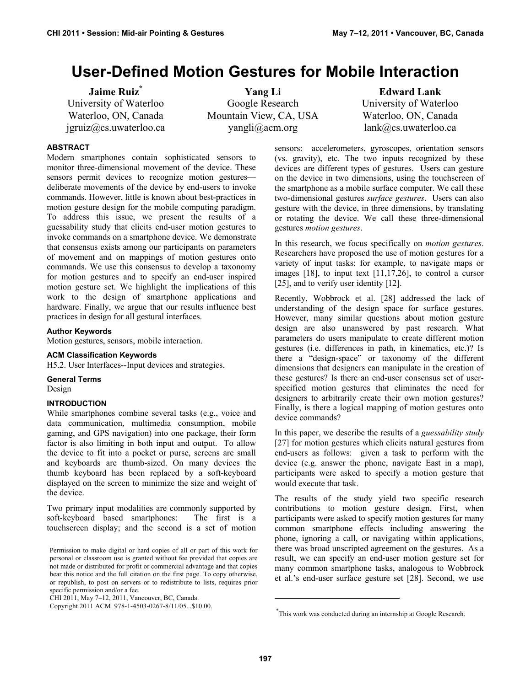# **User-Defined Motion Gestures for Mobile Interaction**

**Jaime Ruiz\***  University of Waterloo Waterloo, ON, Canada jgruiz@cs.uwaterloo.ca

**Yang Li**  Google Research Mountain View, CA, USA yangli@acm.org

**Edward Lank**  University of Waterloo Waterloo, ON, Canada lank@cs.uwaterloo.ca

# **ABSTRACT**

Modern smartphones contain sophisticated sensors to monitor three-dimensional movement of the device. These sensors permit devices to recognize motion gestures deliberate movements of the device by end-users to invoke commands. However, little is known about best-practices in motion gesture design for the mobile computing paradigm. To address this issue, we present the results of a guessability study that elicits end-user motion gestures to invoke commands on a smartphone device. We demonstrate that consensus exists among our participants on parameters of movement and on mappings of motion gestures onto commands. We use this consensus to develop a taxonomy for motion gestures and to specify an end-user inspired motion gesture set. We highlight the implications of this work to the design of smartphone applications and hardware. Finally, we argue that our results influence best practices in design for all gestural interfaces.

#### **Author Keywords**

Motion gestures, sensors, mobile interaction.

#### **ACM Classification Keywords**

H5.2. User Interfaces--Input devices and strategies.

#### **General Terms**

Design

#### **INTRODUCTION**

While smartphones combine several tasks (e.g., voice and data communication, multimedia consumption, mobile gaming, and GPS navigation) into one package, their form factor is also limiting in both input and output. To allow the device to fit into a pocket or purse, screens are small and keyboards are thumb-sized. On many devices the thumb keyboard has been replaced by a soft-keyboard displayed on the screen to minimize the size and weight of the device.

Two primary input modalities are commonly supported by soft-keyboard based smartphones: The first is a touchscreen display; and the second is a set of motion sensors: accelerometers, gyroscopes, orientation sensors (vs. gravity), etc. The two inputs recognized by these devices are different types of gestures. Users can gesture on the device in two dimensions, using the touchscreen of the smartphone as a mobile surface computer. We call these two-dimensional gestures *surface gestures*. Users can also gesture with the device, in three dimensions, by translating or rotating the device. We call these three-dimensional gestures *motion gestures*.

In this research, we focus specifically on *motion gestures*. Researchers have proposed the use of motion gestures for a variety of input tasks: for example, to navigate maps or images [18], to input text [11,17,26], to control a cursor [25], and to verify user identity [12].

Recently, Wobbrock et al. [28] addressed the lack of understanding of the design space for surface gestures. However, many similar questions about motion gesture design are also unanswered by past research. What parameters do users manipulate to create different motion gestures (i.e. differences in path, in kinematics, etc.)? Is there a "design-space" or taxonomy of the different dimensions that designers can manipulate in the creation of these gestures? Is there an end-user consensus set of userspecified motion gestures that eliminates the need for designers to arbitrarily create their own motion gestures? Finally, is there a logical mapping of motion gestures onto device commands?

In this paper, we describe the results of a *guessability study* [27] for motion gestures which elicits natural gestures from end-users as follows: given a task to perform with the device (e.g. answer the phone, navigate East in a map), participants were asked to specify a motion gesture that would execute that task.

The results of the study yield two specific research contributions to motion gesture design. First, when participants were asked to specify motion gestures for many common smartphone effects including answering the phone, ignoring a call, or navigating within applications, there was broad unscripted agreement on the gestures. As a result, we can specify an end-user motion gesture set for many common smartphone tasks, analogous to Wobbrock et al.'s end-user surface gesture set [28]. Second, we use

l

Permission to make digital or hard copies of all or part of this work for personal or classroom use is granted without fee provided that copies are not made or distributed for profit or commercial advantage and that copies bear this notice and the full citation on the first page. To copy otherwise, or republish, to post on servers or to redistribute to lists, requires prior specific permission and/or a fee.

CHI 2011, May 7–12, 2011, Vancouver, BC, Canada.

Copyright 2011 ACM 978-1-4503-0267-8/11/05...\$10.00.

<sup>\*</sup> This work was conducted during an internship at Google Research.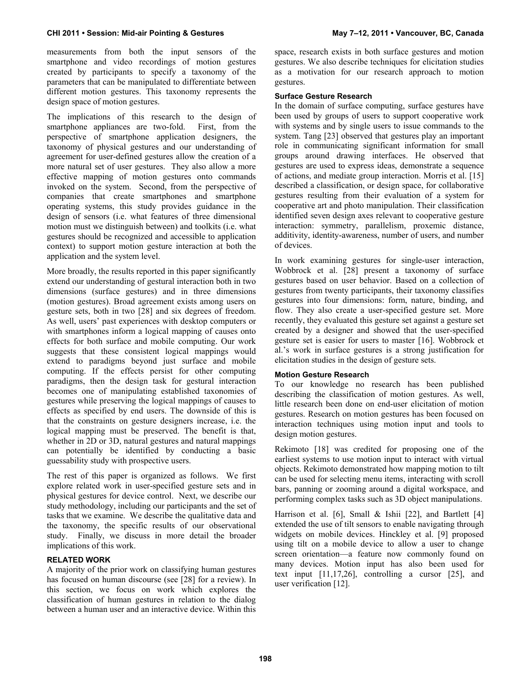measurements from both the input sensors of the smartphone and video recordings of motion gestures created by participants to specify a taxonomy of the parameters that can be manipulated to differentiate between different motion gestures. This taxonomy represents the design space of motion gestures.

The implications of this research to the design of smartphone appliances are two-fold. First, from the perspective of smartphone application designers, the taxonomy of physical gestures and our understanding of agreement for user-defined gestures allow the creation of a more natural set of user gestures. They also allow a more effective mapping of motion gestures onto commands invoked on the system. Second, from the perspective of companies that create smartphones and smartphone operating systems, this study provides guidance in the design of sensors (i.e. what features of three dimensional motion must we distinguish between) and toolkits (i.e. what gestures should be recognized and accessible to application context) to support motion gesture interaction at both the application and the system level.

More broadly, the results reported in this paper significantly extend our understanding of gestural interaction both in two dimensions (surface gestures) and in three dimensions (motion gestures). Broad agreement exists among users on gesture sets, both in two [28] and six degrees of freedom. As well, users' past experiences with desktop computers or with smartphones inform a logical mapping of causes onto effects for both surface and mobile computing. Our work suggests that these consistent logical mappings would extend to paradigms beyond just surface and mobile computing. If the effects persist for other computing paradigms, then the design task for gestural interaction becomes one of manipulating established taxonomies of gestures while preserving the logical mappings of causes to effects as specified by end users. The downside of this is that the constraints on gesture designers increase, i.e. the logical mapping must be preserved. The benefit is that, whether in 2D or 3D, natural gestures and natural mappings can potentially be identified by conducting a basic guessability study with prospective users.

The rest of this paper is organized as follows. We first explore related work in user-specified gesture sets and in physical gestures for device control. Next, we describe our study methodology, including our participants and the set of tasks that we examine. We describe the qualitative data and the taxonomy, the specific results of our observational study. Finally, we discuss in more detail the broader implications of this work.

# **RELATED WORK**

A majority of the prior work on classifying human gestures has focused on human discourse (see [28] for a review). In this section, we focus on work which explores the classification of human gestures in relation to the dialog between a human user and an interactive device. Within this space, research exists in both surface gestures and motion gestures. We also describe techniques for elicitation studies as a motivation for our research approach to motion gestures.

# **Surface Gesture Research**

In the domain of surface computing, surface gestures have been used by groups of users to support cooperative work with systems and by single users to issue commands to the system. Tang [23] observed that gestures play an important role in communicating significant information for small groups around drawing interfaces. He observed that gestures are used to express ideas, demonstrate a sequence of actions, and mediate group interaction. Morris et al. [15] described a classification, or design space, for collaborative gestures resulting from their evaluation of a system for cooperative art and photo manipulation. Their classification identified seven design axes relevant to cooperative gesture interaction: symmetry, parallelism, proxemic distance, additivity, identity-awareness, number of users, and number of devices.

In work examining gestures for single-user interaction, Wobbrock et al. [28] present a taxonomy of surface gestures based on user behavior. Based on a collection of gestures from twenty participants, their taxonomy classifies gestures into four dimensions: form, nature, binding, and flow. They also create a user-specified gesture set. More recently, they evaluated this gesture set against a gesture set created by a designer and showed that the user-specified gesture set is easier for users to master [16]. Wobbrock et al.'s work in surface gestures is a strong justification for elicitation studies in the design of gesture sets.

# **Motion Gesture Research**

To our knowledge no research has been published describing the classification of motion gestures. As well, little research been done on end-user elicitation of motion gestures. Research on motion gestures has been focused on interaction techniques using motion input and tools to design motion gestures.

Rekimoto [18] was credited for proposing one of the earliest systems to use motion input to interact with virtual objects. Rekimoto demonstrated how mapping motion to tilt can be used for selecting menu items, interacting with scroll bars, panning or zooming around a digital workspace, and performing complex tasks such as 3D object manipulations.

Harrison et al. [6], Small & Ishii [22], and Bartlett [4] extended the use of tilt sensors to enable navigating through widgets on mobile devices. Hinckley et al. [9] proposed using tilt on a mobile device to allow a user to change screen orientation—a feature now commonly found on many devices. Motion input has also been used for text input [11,17,26], controlling a cursor [25], and user verification [12].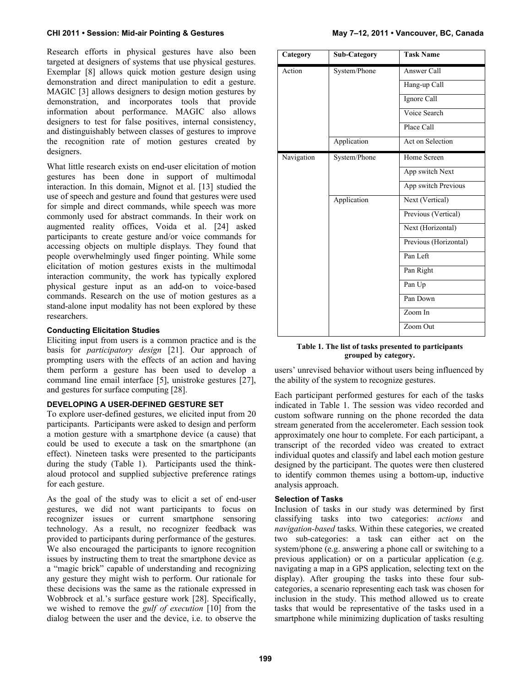Research efforts in physical gestures have also been targeted at designers of systems that use physical gestures. Exemplar [8] allows quick motion gesture design using demonstration and direct manipulation to edit a gesture. MAGIC [3] allows designers to design motion gestures by demonstration, and incorporates tools that provide information about performance. MAGIC also allows designers to test for false positives, internal consistency, and distinguishably between classes of gestures to improve the recognition rate of motion gestures created by designers.

What little research exists on end-user elicitation of motion gestures has been done in support of multimodal interaction. In this domain, Mignot et al. [13] studied the use of speech and gesture and found that gestures were used for simple and direct commands, while speech was more commonly used for abstract commands. In their work on augmented reality offices, Voida et al. [24] asked participants to create gesture and/or voice commands for accessing objects on multiple displays. They found that people overwhelmingly used finger pointing. While some elicitation of motion gestures exists in the multimodal interaction community, the work has typically explored physical gesture input as an add-on to voice-based commands. Research on the use of motion gestures as a stand-alone input modality has not been explored by these researchers.

# **Conducting Elicitation Studies**

Eliciting input from users is a common practice and is the basis for *participatory design* [21]. Our approach of prompting users with the effects of an action and having them perform a gesture has been used to develop a command line email interface [5], unistroke gestures [27], and gestures for surface computing [28].

### **DEVELOPING A USER-DEFINED GESTURE SET**

To explore user-defined gestures, we elicited input from 20 participants. Participants were asked to design and perform a motion gesture with a smartphone device (a cause) that could be used to execute a task on the smartphone (an effect). Nineteen tasks were presented to the participants during the study (Table 1). Participants used the thinkaloud protocol and supplied subjective preference ratings for each gesture.

As the goal of the study was to elicit a set of end-user gestures, we did not want participants to focus on recognizer issues or current smartphone sensoring technology. As a result, no recognizer feedback was provided to participants during performance of the gestures. We also encouraged the participants to ignore recognition issues by instructing them to treat the smartphone device as a "magic brick" capable of understanding and recognizing any gesture they might wish to perform. Our rationale for these decisions was the same as the rationale expressed in Wobbrock et al.'s surface gesture work [28]. Specifically, we wished to remove the *gulf of execution* [10] from the dialog between the user and the device, i.e. to observe the

| Category   | <b>Sub-Category</b> | <b>Task Name</b>      |
|------------|---------------------|-----------------------|
| Action     | System/Phone        | Answer Call           |
|            |                     | Hang-up Call          |
|            |                     | Ignore Call           |
|            |                     | Voice Search          |
|            |                     | Place Call            |
|            | Application         | Act on Selection      |
| Navigation | System/Phone        | Home Screen           |
|            |                     | App switch Next       |
|            |                     | App switch Previous   |
|            | Application         | Next (Vertical)       |
|            |                     | Previous (Vertical)   |
|            |                     | Next (Horizontal)     |
|            |                     | Previous (Horizontal) |
|            |                     | Pan Left              |
|            |                     | Pan Right             |
|            |                     | Pan Up                |
|            |                     | Pan Down              |
|            |                     | Zoom In               |
|            |                     | Zoom Out              |

**Table 1. The list of tasks presented to participants grouped by category.** 

users' unrevised behavior without users being influenced by the ability of the system to recognize gestures.

Each participant performed gestures for each of the tasks indicated in Table 1. The session was video recorded and custom software running on the phone recorded the data stream generated from the accelerometer. Each session took approximately one hour to complete. For each participant, a transcript of the recorded video was created to extract individual quotes and classify and label each motion gesture designed by the participant. The quotes were then clustered to identify common themes using a bottom-up, inductive analysis approach.

### **Selection of Tasks**

Inclusion of tasks in our study was determined by first classifying tasks into two categories: *actions* and *navigation-based* tasks. Within these categories, we created two sub-categories: a task can either act on the system/phone (e.g. answering a phone call or switching to a previous application) or on a particular application (e.g. navigating a map in a GPS application, selecting text on the display). After grouping the tasks into these four subcategories, a scenario representing each task was chosen for inclusion in the study. This method allowed us to create tasks that would be representative of the tasks used in a smartphone while minimizing duplication of tasks resulting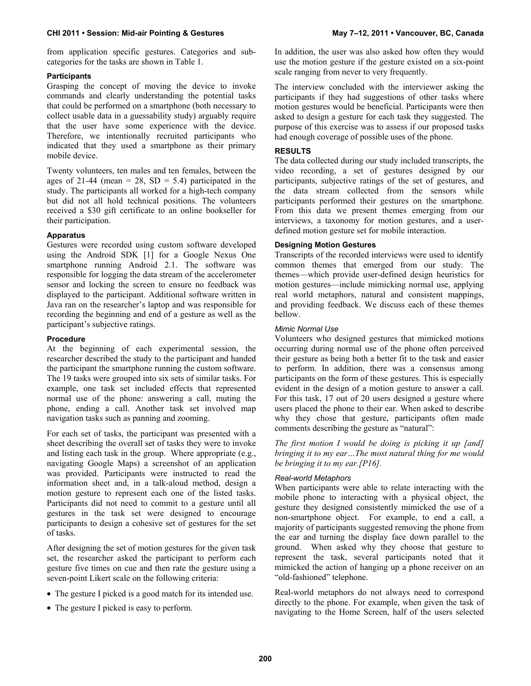from application specific gestures. Categories and subcategories for the tasks are shown in Table 1.

# **Participants**

Grasping the concept of moving the device to invoke commands and clearly understanding the potential tasks that could be performed on a smartphone (both necessary to collect usable data in a guessability study) arguably require that the user have some experience with the device. Therefore, we intentionally recruited participants who indicated that they used a smartphone as their primary mobile device.

Twenty volunteers, ten males and ten females, between the ages of 21-44 (mean = 28,  $SD = 5.4$ ) participated in the study. The participants all worked for a high-tech company but did not all hold technical positions. The volunteers received a \$30 gift certificate to an online bookseller for their participation.

# **Apparatus**

Gestures were recorded using custom software developed using the Android SDK [1] for a Google Nexus One smartphone running Android 2.1. The software was responsible for logging the data stream of the accelerometer sensor and locking the screen to ensure no feedback was displayed to the participant. Additional software written in Java ran on the researcher's laptop and was responsible for recording the beginning and end of a gesture as well as the participant's subjective ratings.

# **Procedure**

At the beginning of each experimental session, the researcher described the study to the participant and handed the participant the smartphone running the custom software. The 19 tasks were grouped into six sets of similar tasks. For example, one task set included effects that represented normal use of the phone: answering a call, muting the phone, ending a call. Another task set involved map navigation tasks such as panning and zooming.

For each set of tasks, the participant was presented with a sheet describing the overall set of tasks they were to invoke and listing each task in the group. Where appropriate (e.g., navigating Google Maps) a screenshot of an application was provided. Participants were instructed to read the information sheet and, in a talk-aloud method, design a motion gesture to represent each one of the listed tasks. Participants did not need to commit to a gesture until all gestures in the task set were designed to encourage participants to design a cohesive set of gestures for the set of tasks.

After designing the set of motion gestures for the given task set, the researcher asked the participant to perform each gesture five times on cue and then rate the gesture using a seven-point Likert scale on the following criteria:

- The gesture I picked is a good match for its intended use.
- The gesture I picked is easy to perform.

In addition, the user was also asked how often they would use the motion gesture if the gesture existed on a six-point scale ranging from never to very frequently.

The interview concluded with the interviewer asking the participants if they had suggestions of other tasks where motion gestures would be beneficial. Participants were then asked to design a gesture for each task they suggested. The purpose of this exercise was to assess if our proposed tasks had enough coverage of possible uses of the phone.

# **RESULTS**

The data collected during our study included transcripts, the video recording, a set of gestures designed by our participants, subjective ratings of the set of gestures, and the data stream collected from the sensors while participants performed their gestures on the smartphone. From this data we present themes emerging from our interviews, a taxonomy for motion gestures, and a userdefined motion gesture set for mobile interaction.

# **Designing Motion Gestures**

Transcripts of the recorded interviews were used to identify common themes that emerged from our study. The themes—which provide user-defined design heuristics for motion gestures—include mimicking normal use, applying real world metaphors, natural and consistent mappings, and providing feedback. We discuss each of these themes bellow.

# *Mimic Normal Use*

Volunteers who designed gestures that mimicked motions occurring during normal use of the phone often perceived their gesture as being both a better fit to the task and easier to perform. In addition, there was a consensus among participants on the form of these gestures. This is especially evident in the design of a motion gesture to answer a call. For this task, 17 out of 20 users designed a gesture where users placed the phone to their ear. When asked to describe why they chose that gesture, participants often made comments describing the gesture as "natural":

*The first motion I would be doing is picking it up [and] bringing it to my ear…The most natural thing for me would be bringing it to my ear.[P16].* 

# *Real-world Metaphors*

When participants were able to relate interacting with the mobile phone to interacting with a physical object, the gesture they designed consistently mimicked the use of a non-smartphone object. For example, to end a call, a majority of participants suggested removing the phone from the ear and turning the display face down parallel to the ground. When asked why they choose that gesture to represent the task, several participants noted that it mimicked the action of hanging up a phone receiver on an "old-fashioned" telephone.

Real-world metaphors do not always need to correspond directly to the phone. For example, when given the task of navigating to the Home Screen, half of the users selected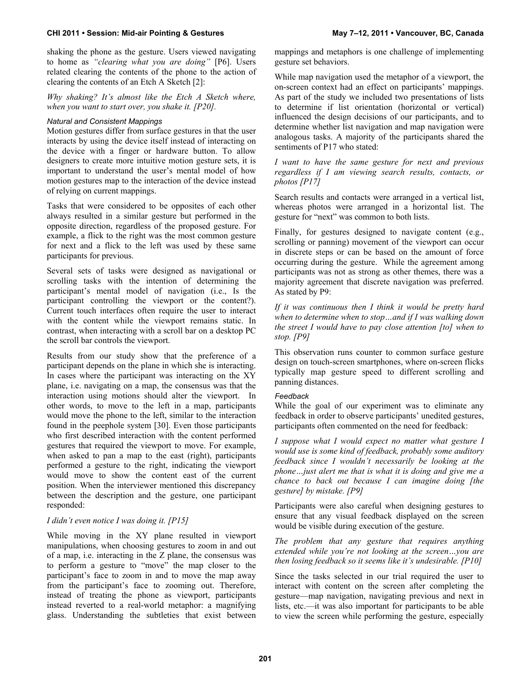shaking the phone as the gesture. Users viewed navigating to home as *"clearing what you are doing"* [P6]. Users related clearing the contents of the phone to the action of clearing the contents of an Etch A Sketch [2]:

*Why shaking? It's almost like the Etch A Sketch where, when you want to start over, you shake it. [P20].* 

## *Natural and Consistent Mappings*

Motion gestures differ from surface gestures in that the user interacts by using the device itself instead of interacting on the device with a finger or hardware button. To allow designers to create more intuitive motion gesture sets, it is important to understand the user's mental model of how motion gestures map to the interaction of the device instead of relying on current mappings.

Tasks that were considered to be opposites of each other always resulted in a similar gesture but performed in the opposite direction, regardless of the proposed gesture. For example, a flick to the right was the most common gesture for next and a flick to the left was used by these same participants for previous.

Several sets of tasks were designed as navigational or scrolling tasks with the intention of determining the participant's mental model of navigation (i.e., Is the participant controlling the viewport or the content?). Current touch interfaces often require the user to interact with the content while the viewport remains static. In contrast, when interacting with a scroll bar on a desktop PC the scroll bar controls the viewport.

Results from our study show that the preference of a participant depends on the plane in which she is interacting. In cases where the participant was interacting on the XY plane, i.e. navigating on a map, the consensus was that the interaction using motions should alter the viewport. In other words, to move to the left in a map, participants would move the phone to the left, similar to the interaction found in the peephole system [30]. Even those participants who first described interaction with the content performed gestures that required the viewport to move. For example, when asked to pan a map to the east (right), participants performed a gesture to the right, indicating the viewport would move to show the content east of the current position. When the interviewer mentioned this discrepancy between the description and the gesture, one participant responded:

# *I didn't even notice I was doing it. [P15]*

While moving in the XY plane resulted in viewport manipulations, when choosing gestures to zoom in and out of a map, i.e. interacting in the Z plane, the consensus was to perform a gesture to "move" the map closer to the participant's face to zoom in and to move the map away from the participant's face to zooming out. Therefore, instead of treating the phone as viewport, participants instead reverted to a real-world metaphor: a magnifying glass. Understanding the subtleties that exist between mappings and metaphors is one challenge of implementing gesture set behaviors.

While map navigation used the metaphor of a viewport, the on-screen context had an effect on participants' mappings. As part of the study we included two presentations of lists to determine if list orientation (horizontal or vertical) influenced the design decisions of our participants, and to determine whether list navigation and map navigation were analogous tasks. A majority of the participants shared the sentiments of P17 who stated:

*I want to have the same gesture for next and previous regardless if I am viewing search results, contacts, or photos [P17]* 

Search results and contacts were arranged in a vertical list, whereas photos were arranged in a horizontal list. The gesture for "next" was common to both lists.

Finally, for gestures designed to navigate content (e.g., scrolling or panning) movement of the viewport can occur in discrete steps or can be based on the amount of force occurring during the gesture. While the agreement among participants was not as strong as other themes, there was a majority agreement that discrete navigation was preferred. As stated by P9:

*If it was continuous then I think it would be pretty hard when to determine when to stop…and if I was walking down the street I would have to pay close attention [to] when to stop. [P9]*

This observation runs counter to common surface gesture design on touch-screen smartphones, where on-screen flicks typically map gesture speed to different scrolling and panning distances.

# *Feedback*

While the goal of our experiment was to eliminate any feedback in order to observe participants' unedited gestures, participants often commented on the need for feedback:

*I suppose what I would expect no matter what gesture I would use is some kind of feedback, probably some auditory feedback since I wouldn't necessarily be looking at the phone…just alert me that is what it is doing and give me a chance to back out because I can imagine doing [the gesture] by mistake. [P9]* 

Participants were also careful when designing gestures to ensure that any visual feedback displayed on the screen would be visible during execution of the gesture.

*The problem that any gesture that requires anything extended while you're not looking at the screen…you are then losing feedback so it seems like it's undesirable. [P10]* 

Since the tasks selected in our trial required the user to interact with content on the screen after completing the gesture—map navigation, navigating previous and next in lists, etc.—it was also important for participants to be able to view the screen while performing the gesture, especially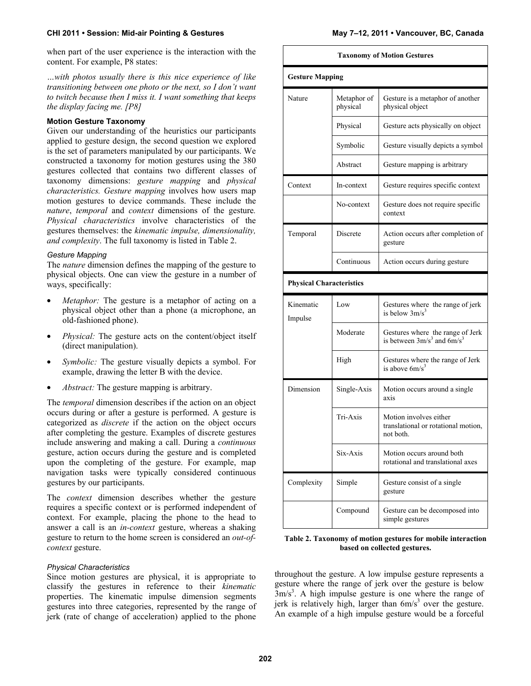when part of the user experience is the interaction with the content. For example, P8 states:

*…with photos usually there is this nice experience of like transitioning between one photo or the next, so I don't want to twitch because then I miss it. I want something that keeps the display facing me. [P8]* 

#### **Motion Gesture Taxonomy**

Given our understanding of the heuristics our participants applied to gesture design, the second question we explored is the set of parameters manipulated by our participants. We constructed a taxonomy for motion gestures using the 380 gestures collected that contains two different classes of taxonomy dimensions: *gesture mapping* and *physical characteristics. Gesture mapping* involves how users map motion gestures to device commands. These include the *nature*, *temporal* and *context* dimensions of the gesture*. Physical characteristics* involve characteristics of the gestures themselves: the *kinematic impulse, dimensionality, and complexity*. The full taxonomy is listed in Table 2.

#### *Gesture Mapping*

The *nature* dimension defines the mapping of the gesture to physical objects. One can view the gesture in a number of ways, specifically:

- *Metaphor:* The gesture is a metaphor of acting on a physical object other than a phone (a microphone, an old-fashioned phone).
- *Physical:* The gesture acts on the content/object itself (direct manipulation).
- Symbolic: The gesture visually depicts a symbol. For example, drawing the letter B with the device.
- *Abstract:* The gesture mapping is arbitrary.

The *temporal* dimension describes if the action on an object occurs during or after a gesture is performed. A gesture is categorized as *discrete* if the action on the object occurs after completing the gesture. Examples of discrete gestures include answering and making a call. During a *continuous* gesture, action occurs during the gesture and is completed upon the completing of the gesture. For example, map navigation tasks were typically considered continuous gestures by our participants.

The *context* dimension describes whether the gesture requires a specific context or is performed independent of context. For example, placing the phone to the head to answer a call is an *in-context* gesture, whereas a shaking gesture to return to the home screen is considered an *out-ofcontext* gesture.

#### *Physical Characteristics*

Since motion gestures are physical, it is appropriate to classify the gestures in reference to their *kinematic* properties. The kinematic impulse dimension segments gestures into three categories, represented by the range of jerk (rate of change of acceleration) applied to the phone

| <b>Taxonomy of Motion Gestures</b> |                         |                                                                            |  |
|------------------------------------|-------------------------|----------------------------------------------------------------------------|--|
| <b>Gesture Mapping</b>             |                         |                                                                            |  |
| Nature                             | Metaphor of<br>physical | Gesture is a metaphor of another<br>physical object                        |  |
|                                    | Physical                | Gesture acts physically on object                                          |  |
|                                    | Symbolic                | Gesture visually depicts a symbol                                          |  |
|                                    | Abstract                | Gesture mapping is arbitrary                                               |  |
| Context                            | In-context              | Gesture requires specific context                                          |  |
|                                    | No-context              | Gesture does not require specific<br>context                               |  |
| Temporal                           | Discrete                | Action occurs after completion of<br>gesture                               |  |
|                                    | Continuous              | Action occurs during gesture                                               |  |
| <b>Physical Characteristics</b>    |                         |                                                                            |  |
| Kinematic<br>Impulse               | Low                     | Gestures where the range of jerk<br>is below $3m/s^3$                      |  |
|                                    | Moderate                | Gestures where the range of Jerk<br>is between $3m/s^3$ and $6m/s^3$       |  |
|                                    | High                    | Gestures where the range of Jerk<br>is above $6m/s^3$                      |  |
| Dimension                          | Single-Axis             | Motion occurs around a single<br>axis                                      |  |
|                                    | Tri-Axis                | Motion involves either<br>translational or rotational motion,<br>not both- |  |
|                                    | Six-Axis                | Motion occurs around both<br>rotational and translational axes             |  |
| Complexity                         | Simple                  | Gesture consist of a single<br>gesture                                     |  |
|                                    | Compound                | Gesture can be decomposed into<br>simple gestures                          |  |

#### **Table 2. Taxonomy of motion gestures for mobile interaction based on collected gestures.**

throughout the gesture. A low impulse gesture represents a gesture where the range of jerk over the gesture is below  $3m/s<sup>3</sup>$ . A high impulse gesture is one where the range of jerk is relatively high, larger than  $6m/s<sup>3</sup>$  over the gesture. An example of a high impulse gesture would be a forceful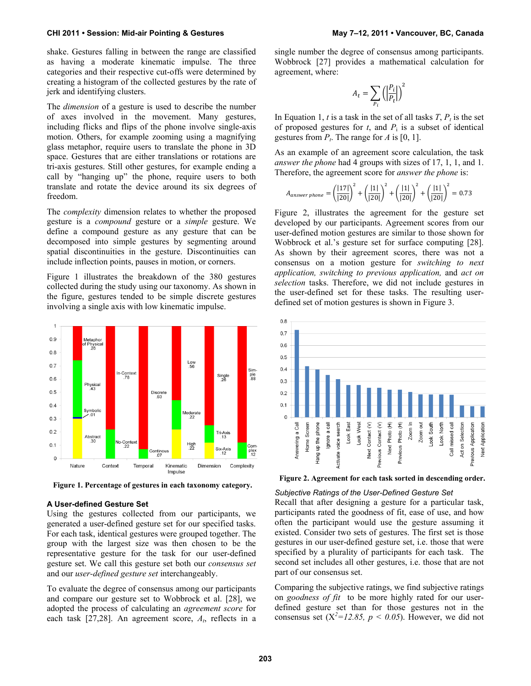shake. Gestures falling in between the range are classified as having a moderate kinematic impulse. The three categories and their respective cut-offs were determined by creating a histogram of the collected gestures by the rate of jerk and identifying clusters.

The *dimension* of a gesture is used to describe the number of axes involved in the movement. Many gestures, including flicks and flips of the phone involve single-axis motion. Others, for example zooming using a magnifying glass metaphor, require users to translate the phone in 3D space. Gestures that are either translations or rotations are tri-axis gestures. Still other gestures, for example ending a call by "hanging up" the phone, require users to both translate and rotate the device around its six degrees of freedom.

The *complexity* dimension relates to whether the proposed gesture is a *compound* gesture or a *simple* gesture. We define a compound gesture as any gesture that can be decomposed into simple gestures by segmenting around spatial discontinuities in the gesture. Discontinuities can include inflection points, pauses in motion, or corners.

Figure 1 illustrates the breakdown of the 380 gestures collected during the study using our taxonomy. As shown in the figure, gestures tended to be simple discrete gestures involving a single axis with low kinematic impulse.



#### **A User-defined Gesture Set**

Using the gestures collected from our participants, we generated a user-defined gesture set for our specified tasks. For each task, identical gestures were grouped together. The group with the largest size was then chosen to be the representative gesture for the task for our user-defined gesture set. We call this gesture set both our *consensus set* and our *user-defined gesture set* interchangeably.

To evaluate the degree of consensus among our participants and compare our gesture set to Wobbrock et al. [28], we adopted the process of calculating an *agreement score* for each task [27,28]. An agreement score, *At*, reflects in a single number the degree of consensus among participants. Wobbrock [27] provides a mathematical calculation for agreement, where:

$$
A_t = \sum_{P_i} \left( \left| \frac{P_i}{P_t} \right| \right)^2
$$

In Equation 1, *t* is a task in the set of all tasks  $T$ ,  $P_t$  is the set of proposed gestures for  $t$ , and  $P_i$  is a subset of identical gestures from  $P_t$ . The range for *A* is [0, 1].

As an example of an agreement score calculation, the task *answer the phone* had 4 groups with sizes of 17, 1, 1, and 1. Therefore, the agreement score for *answer the phone* is:

$$
A_{answer\;phone} = \left(\frac{|17|}{|20|}\right)^2 + \left(\frac{|1|}{|20|}\right)^2 + \left(\frac{|1|}{|20|}\right)^2 + \left(\frac{|1|}{|20|}\right)^2 = 0.73
$$

Figure 2, illustrates the agreement for the gesture set developed by our participants. Agreement scores from our user-defined motion gestures are similar to those shown for Wobbrock et al.'s gesture set for surface computing [28]. As shown by their agreement scores, there was not a consensus on a motion gesture for *switching to next application, switching to previous application,* and *act on selection* tasks. Therefore, we did not include gestures in the user-defined set for these tasks. The resulting userdefined set of motion gestures is shown in Figure 3.



#### *Subjective Ratings of the User-Defined Gesture Set*

Recall that after designing a gesture for a particular task, participants rated the goodness of fit, ease of use, and how often the participant would use the gesture assuming it existed. Consider two sets of gestures. The first set is those gestures in our user-defined gesture set, i.e. those that were specified by a plurality of participants for each task. The second set includes all other gestures, i.e. those that are not part of our consensus set.

Comparing the subjective ratings, we find subjective ratings on *goodness of fit* to be more highly rated for our userdefined gesture set than for those gestures not in the consensus set  $(X^2 = 12.85, p < 0.05)$ . However, we did not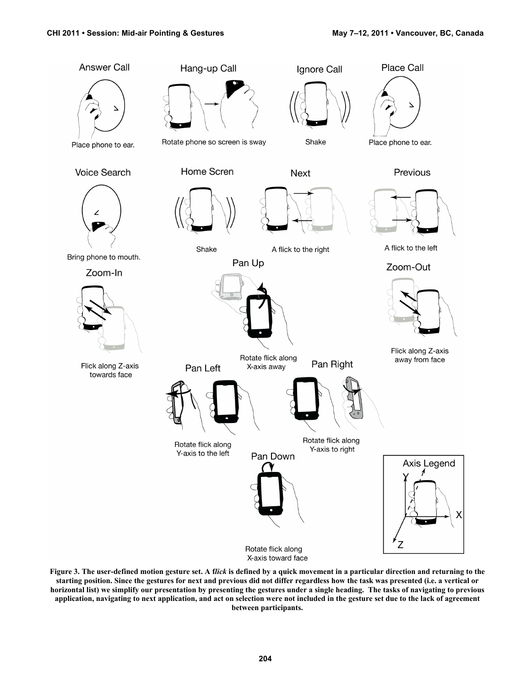

**Figure 3. The user-defined motion gesture set. A f***lick* **is defined by a quick movement in a particular direction and returning to the starting position. Since the gestures for next and previous did not differ regardless how the task was presented (i.e. a vertical or horizontal list) we simplify our presentation by presenting the gestures under a single heading. The tasks of navigating to previous application, navigating to next application, and act on selection were not included in the gesture set due to the lack of agreement between participants.**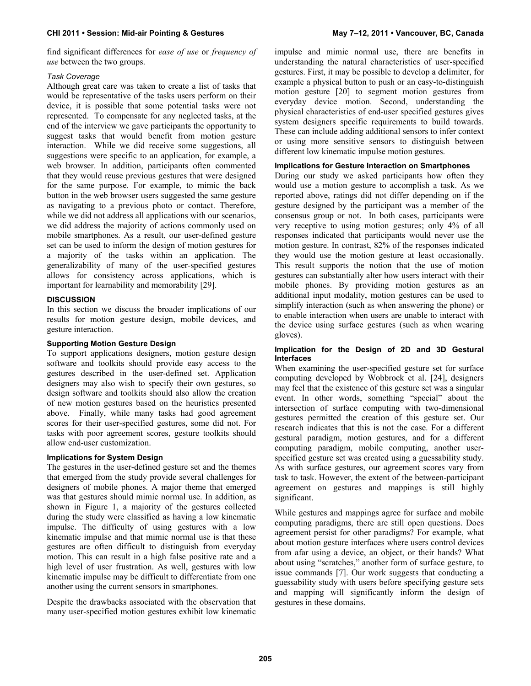find significant differences for *ease of use* or *frequency of use* between the two groups.

## *Task Coverage*

Although great care was taken to create a list of tasks that would be representative of the tasks users perform on their device, it is possible that some potential tasks were not represented. To compensate for any neglected tasks, at the end of the interview we gave participants the opportunity to suggest tasks that would benefit from motion gesture interaction. While we did receive some suggestions, all suggestions were specific to an application, for example, a web browser. In addition, participants often commented that they would reuse previous gestures that were designed for the same purpose. For example, to mimic the back button in the web browser users suggested the same gesture as navigating to a previous photo or contact. Therefore, while we did not address all applications with our scenarios, we did address the majority of actions commonly used on mobile smartphones. As a result, our user-defined gesture set can be used to inform the design of motion gestures for a majority of the tasks within an application. The generalizability of many of the user-specified gestures allows for consistency across applications, which is important for learnability and memorability [29].

# **DISCUSSION**

In this section we discuss the broader implications of our results for motion gesture design, mobile devices, and gesture interaction.

### **Supporting Motion Gesture Design**

To support applications designers, motion gesture design software and toolkits should provide easy access to the gestures described in the user-defined set. Application designers may also wish to specify their own gestures, so design software and toolkits should also allow the creation of new motion gestures based on the heuristics presented above. Finally, while many tasks had good agreement scores for their user-specified gestures, some did not. For tasks with poor agreement scores, gesture toolkits should allow end-user customization.

### **Implications for System Design**

The gestures in the user-defined gesture set and the themes that emerged from the study provide several challenges for designers of mobile phones. A major theme that emerged was that gestures should mimic normal use. In addition, as shown in Figure 1, a majority of the gestures collected during the study were classified as having a low kinematic impulse. The difficulty of using gestures with a low kinematic impulse and that mimic normal use is that these gestures are often difficult to distinguish from everyday motion. This can result in a high false positive rate and a high level of user frustration. As well, gestures with low kinematic impulse may be difficult to differentiate from one another using the current sensors in smartphones.

Despite the drawbacks associated with the observation that many user-specified motion gestures exhibit low kinematic

impulse and mimic normal use, there are benefits in understanding the natural characteristics of user-specified gestures. First, it may be possible to develop a delimiter, for example a physical button to push or an easy-to-distinguish motion gesture [20] to segment motion gestures from everyday device motion. Second, understanding the physical characteristics of end-user specified gestures gives system designers specific requirements to build towards. These can include adding additional sensors to infer context or using more sensitive sensors to distinguish between different low kinematic impulse motion gestures.

# **Implications for Gesture Interaction on Smartphones**

During our study we asked participants how often they would use a motion gesture to accomplish a task. As we reported above, ratings did not differ depending on if the gesture designed by the participant was a member of the consensus group or not. In both cases, participants were very receptive to using motion gestures; only 4% of all responses indicated that participants would never use the motion gesture. In contrast, 82% of the responses indicated they would use the motion gesture at least occasionally. This result supports the notion that the use of motion gestures can substantially alter how users interact with their mobile phones. By providing motion gestures as an additional input modality, motion gestures can be used to simplify interaction (such as when answering the phone) or to enable interaction when users are unable to interact with the device using surface gestures (such as when wearing gloves).

### **Implication for the Design of 2D and 3D Gestural Interfaces**

When examining the user-specified gesture set for surface computing developed by Wobbrock et al. [24], designers may feel that the existence of this gesture set was a singular event. In other words, something "special" about the intersection of surface computing with two-dimensional gestures permitted the creation of this gesture set. Our research indicates that this is not the case. For a different gestural paradigm, motion gestures, and for a different computing paradigm, mobile computing, another userspecified gesture set was created using a guessability study. As with surface gestures, our agreement scores vary from task to task. However, the extent of the between-participant agreement on gestures and mappings is still highly significant.

While gestures and mappings agree for surface and mobile computing paradigms, there are still open questions. Does agreement persist for other paradigms? For example, what about motion gesture interfaces where users control devices from afar using a device, an object, or their hands? What about using "scratches," another form of surface gesture, to issue commands [7]. Our work suggests that conducting a guessability study with users before specifying gesture sets and mapping will significantly inform the design of gestures in these domains.